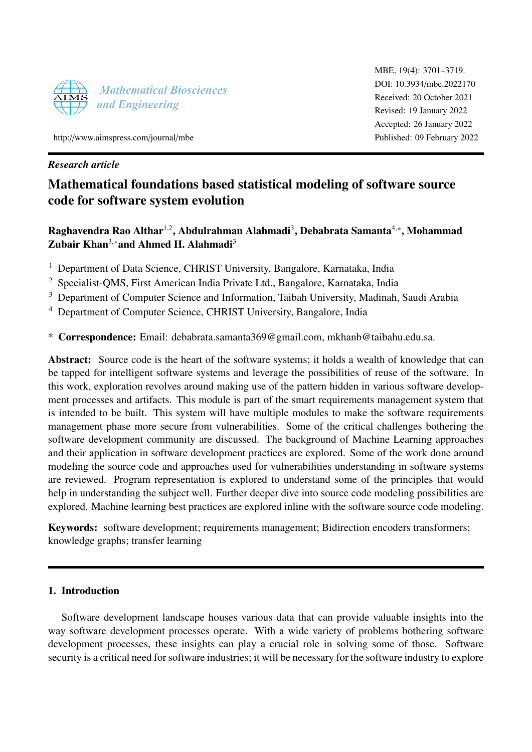

MBE, 19(4): 3701–3719. [DOI: 10.3934](http://dx.doi.org/10.3934/mbe.2022170)/mbe.2022170 Received: 20 October 2021 Revised: 19 January 2022 Accepted: 26 January 2022 Published: 09 February 2022

http://[www.aimspress.com](http://http://www.aimspress.com/journal/mbe)/journal/mbe

## *Research article*

# Mathematical foundations based statistical modeling of software source code for software system evolution

Raghavendra Rao Althar $^{1,2}$ , Abdulrahman Alahmadi $^3$ , Debabrata Samanta $^{4,\ast},$  Mohammad Zubair Khan<sup>3,\*</sup>and Ahmed H. Alahmadi<sup>3</sup>

<sup>1</sup> Department of Data Science, CHRIST University, Bangalore, Karnataka, India

<sup>2</sup> Specialist-QMS, First American India Private Ltd., Bangalore, Karnataka, India

<sup>3</sup> Department of Computer Science and Information, Taibah University, Madinah, Saudi Arabia

<sup>4</sup> Department of Computer Science, CHRIST University, Bangalore, India

\* Correspondence: Email: debabrata.samanta369@gmail.com, mkhanb@taibahu.edu.sa.

Abstract: Source code is the heart of the software systems; it holds a wealth of knowledge that can be tapped for intelligent software systems and leverage the possibilities of reuse of the software. In this work, exploration revolves around making use of the pattern hidden in various software development processes and artifacts. This module is part of the smart requirements management system that is intended to be built. This system will have multiple modules to make the software requirements management phase more secure from vulnerabilities. Some of the critical challenges bothering the software development community are discussed. The background of Machine Learning approaches and their application in software development practices are explored. Some of the work done around modeling the source code and approaches used for vulnerabilities understanding in software systems are reviewed. Program representation is explored to understand some of the principles that would help in understanding the subject well. Further deeper dive into source code modeling possibilities are explored. Machine learning best practices are explored inline with the software source code modeling.

Keywords: software development; requirements management; Bidirection encoders transformers; knowledge graphs; transfer learning

## 1. Introduction

Software development landscape houses various data that can provide valuable insights into the way software development processes operate. With a wide variety of problems bothering software development processes, these insights can play a crucial role in solving some of those. Software security is a critical need for software industries; it will be necessary for the software industry to explore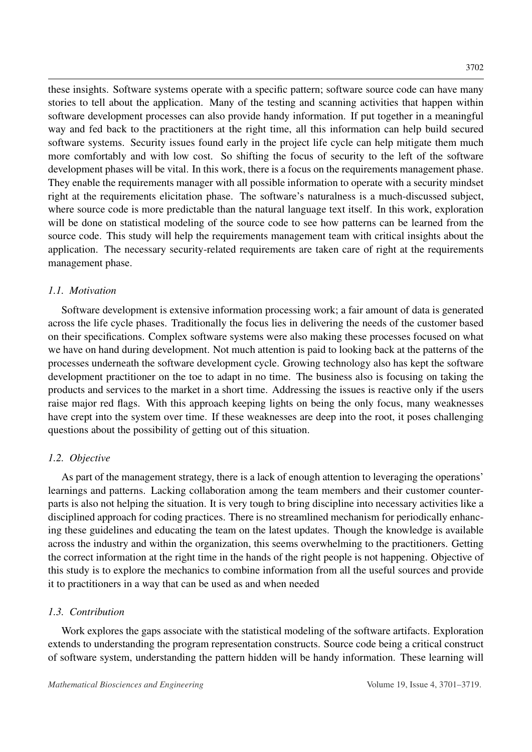these insights. Software systems operate with a specific pattern; software source code can have many stories to tell about the application. Many of the testing and scanning activities that happen within software development processes can also provide handy information. If put together in a meaningful way and fed back to the practitioners at the right time, all this information can help build secured software systems. Security issues found early in the project life cycle can help mitigate them much more comfortably and with low cost. So shifting the focus of security to the left of the software development phases will be vital. In this work, there is a focus on the requirements management phase. They enable the requirements manager with all possible information to operate with a security mindset right at the requirements elicitation phase. The software's naturalness is a much-discussed subject, where source code is more predictable than the natural language text itself. In this work, exploration will be done on statistical modeling of the source code to see how patterns can be learned from the source code. This study will help the requirements management team with critical insights about the application. The necessary security-related requirements are taken care of right at the requirements management phase.

## *1.1. Motivation*

Software development is extensive information processing work; a fair amount of data is generated across the life cycle phases. Traditionally the focus lies in delivering the needs of the customer based on their specifications. Complex software systems were also making these processes focused on what we have on hand during development. Not much attention is paid to looking back at the patterns of the processes underneath the software development cycle. Growing technology also has kept the software development practitioner on the toe to adapt in no time. The business also is focusing on taking the products and services to the market in a short time. Addressing the issues is reactive only if the users raise major red flags. With this approach keeping lights on being the only focus, many weaknesses have crept into the system over time. If these weaknesses are deep into the root, it poses challenging questions about the possibility of getting out of this situation.

## *1.2. Objective*

As part of the management strategy, there is a lack of enough attention to leveraging the operations' learnings and patterns. Lacking collaboration among the team members and their customer counterparts is also not helping the situation. It is very tough to bring discipline into necessary activities like a disciplined approach for coding practices. There is no streamlined mechanism for periodically enhancing these guidelines and educating the team on the latest updates. Though the knowledge is available across the industry and within the organization, this seems overwhelming to the practitioners. Getting the correct information at the right time in the hands of the right people is not happening. Objective of this study is to explore the mechanics to combine information from all the useful sources and provide it to practitioners in a way that can be used as and when needed

## *1.3. Contribution*

Work explores the gaps associate with the statistical modeling of the software artifacts. Exploration extends to understanding the program representation constructs. Source code being a critical construct of software system, understanding the pattern hidden will be handy information. These learning will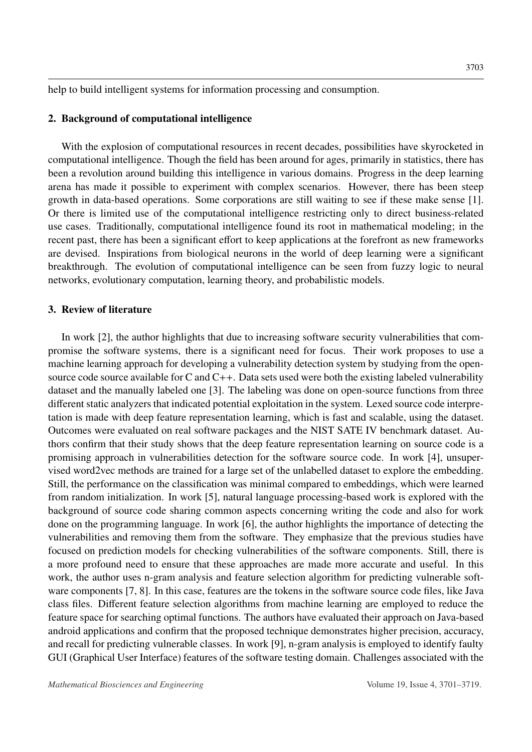help to build intelligent systems for information processing and consumption.

## 2. Background of computational intelligence

With the explosion of computational resources in recent decades, possibilities have skyrocketed in computational intelligence. Though the field has been around for ages, primarily in statistics, there has been a revolution around building this intelligence in various domains. Progress in the deep learning arena has made it possible to experiment with complex scenarios. However, there has been steep growth in data-based operations. Some corporations are still waiting to see if these make sense [\[1\]](#page-15-0). Or there is limited use of the computational intelligence restricting only to direct business-related use cases. Traditionally, computational intelligence found its root in mathematical modeling; in the recent past, there has been a significant effort to keep applications at the forefront as new frameworks are devised. Inspirations from biological neurons in the world of deep learning were a significant breakthrough. The evolution of computational intelligence can be seen from fuzzy logic to neural networks, evolutionary computation, learning theory, and probabilistic models.

#### 3. Review of literature

In work [\[2\]](#page-15-1), the author highlights that due to increasing software security vulnerabilities that compromise the software systems, there is a significant need for focus. Their work proposes to use a machine learning approach for developing a vulnerability detection system by studying from the opensource code source available for C and C++. Data sets used were both the existing labeled vulnerability dataset and the manually labeled one [\[3\]](#page-15-2). The labeling was done on open-source functions from three different static analyzers that indicated potential exploitation in the system. Lexed source code interpretation is made with deep feature representation learning, which is fast and scalable, using the dataset. Outcomes were evaluated on real software packages and the NIST SATE IV benchmark dataset. Authors confirm that their study shows that the deep feature representation learning on source code is a promising approach in vulnerabilities detection for the software source code. In work [\[4\]](#page-15-3), unsupervised word2vec methods are trained for a large set of the unlabelled dataset to explore the embedding. Still, the performance on the classification was minimal compared to embeddings, which were learned from random initialization. In work [\[5\]](#page-15-4), natural language processing-based work is explored with the background of source code sharing common aspects concerning writing the code and also for work done on the programming language. In work [\[6\]](#page-15-5), the author highlights the importance of detecting the vulnerabilities and removing them from the software. They emphasize that the previous studies have focused on prediction models for checking vulnerabilities of the software components. Still, there is a more profound need to ensure that these approaches are made more accurate and useful. In this work, the author uses n-gram analysis and feature selection algorithm for predicting vulnerable software components [\[7,](#page-15-6) [8\]](#page-16-0). In this case, features are the tokens in the software source code files, like Java class files. Different feature selection algorithms from machine learning are employed to reduce the feature space for searching optimal functions. The authors have evaluated their approach on Java-based android applications and confirm that the proposed technique demonstrates higher precision, accuracy, and recall for predicting vulnerable classes. In work [\[9\]](#page-16-1), n-gram analysis is employed to identify faulty GUI (Graphical User Interface) features of the software testing domain. Challenges associated with the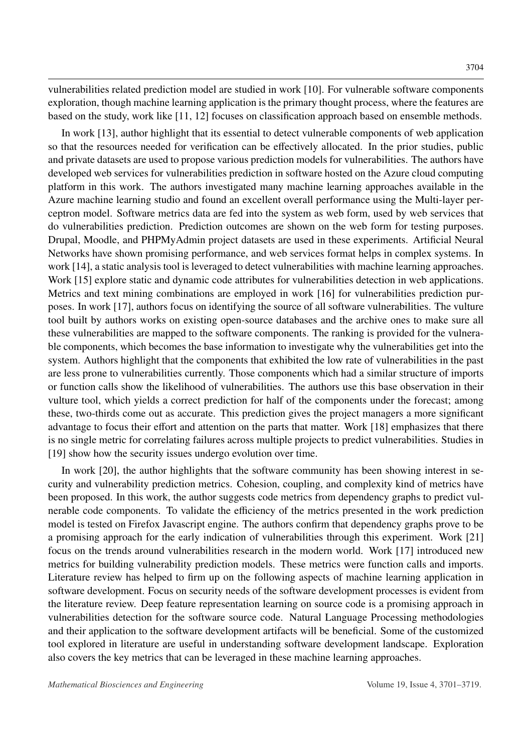vulnerabilities related prediction model are studied in work [\[10\]](#page-16-2). For vulnerable software components exploration, though machine learning application is the primary thought process, where the features are based on the study, work like [\[11,](#page-16-3) [12\]](#page-16-4) focuses on classification approach based on ensemble methods.

In work [\[13\]](#page-16-5), author highlight that its essential to detect vulnerable components of web application so that the resources needed for verification can be effectively allocated. In the prior studies, public and private datasets are used to propose various prediction models for vulnerabilities. The authors have developed web services for vulnerabilities prediction in software hosted on the Azure cloud computing platform in this work. The authors investigated many machine learning approaches available in the Azure machine learning studio and found an excellent overall performance using the Multi-layer perceptron model. Software metrics data are fed into the system as web form, used by web services that do vulnerabilities prediction. Prediction outcomes are shown on the web form for testing purposes. Drupal, Moodle, and PHPMyAdmin project datasets are used in these experiments. Artificial Neural Networks have shown promising performance, and web services format helps in complex systems. In work [\[14\]](#page-16-6), a static analysis tool is leveraged to detect vulnerabilities with machine learning approaches. Work [\[15\]](#page-16-7) explore static and dynamic code attributes for vulnerabilities detection in web applications. Metrics and text mining combinations are employed in work [\[16\]](#page-16-8) for vulnerabilities prediction purposes. In work [\[17\]](#page-16-9), authors focus on identifying the source of all software vulnerabilities. The vulture tool built by authors works on existing open-source databases and the archive ones to make sure all these vulnerabilities are mapped to the software components. The ranking is provided for the vulnerable components, which becomes the base information to investigate why the vulnerabilities get into the system. Authors highlight that the components that exhibited the low rate of vulnerabilities in the past are less prone to vulnerabilities currently. Those components which had a similar structure of imports or function calls show the likelihood of vulnerabilities. The authors use this base observation in their vulture tool, which yields a correct prediction for half of the components under the forecast; among these, two-thirds come out as accurate. This prediction gives the project managers a more significant advantage to focus their effort and attention on the parts that matter. Work [\[18\]](#page-16-10) emphasizes that there is no single metric for correlating failures across multiple projects to predict vulnerabilities. Studies in [\[19\]](#page-16-11) show how the security issues undergo evolution over time.

In work [\[20\]](#page-16-12), the author highlights that the software community has been showing interest in security and vulnerability prediction metrics. Cohesion, coupling, and complexity kind of metrics have been proposed. In this work, the author suggests code metrics from dependency graphs to predict vulnerable code components. To validate the efficiency of the metrics presented in the work prediction model is tested on Firefox Javascript engine. The authors confirm that dependency graphs prove to be a promising approach for the early indication of vulnerabilities through this experiment. Work [\[21\]](#page-16-13) focus on the trends around vulnerabilities research in the modern world. Work [\[17\]](#page-16-9) introduced new metrics for building vulnerability prediction models. These metrics were function calls and imports. Literature review has helped to firm up on the following aspects of machine learning application in software development. Focus on security needs of the software development processes is evident from the literature review. Deep feature representation learning on source code is a promising approach in vulnerabilities detection for the software source code. Natural Language Processing methodologies and their application to the software development artifacts will be beneficial. Some of the customized tool explored in literature are useful in understanding software development landscape. Exploration also covers the key metrics that can be leveraged in these machine learning approaches.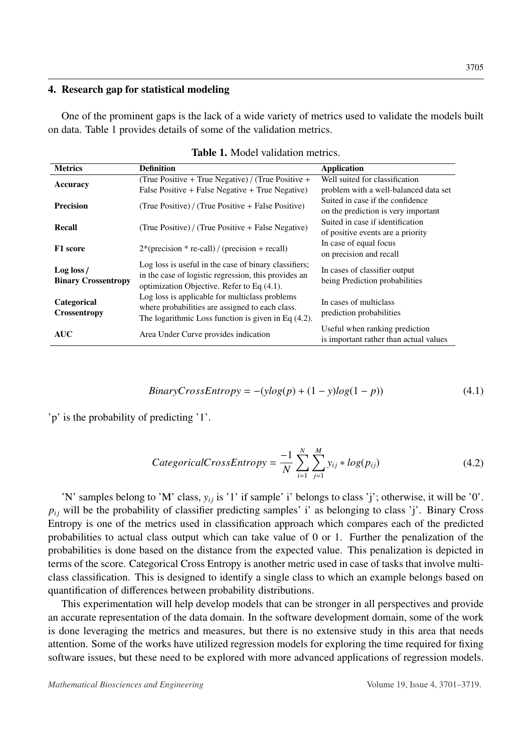#### 4. Research gap for statistical modeling

One of the prominent gaps is the lack of a wide variety of metrics used to validate the models built on data. Table [1](#page-4-0) provides details of some of the validation metrics.

<span id="page-4-0"></span>

| <b>Metrics</b>                           | <b>Definition</b>                                                                                                                                              | <b>Application</b>                                                       |
|------------------------------------------|----------------------------------------------------------------------------------------------------------------------------------------------------------------|--------------------------------------------------------------------------|
| <b>Accuracy</b>                          | (True Positive + True Negative) / (True Positive +                                                                                                             | Well suited for classification                                           |
|                                          | False Positive + False Negative + True Negative)                                                                                                               | problem with a well-balanced data set                                    |
| <b>Precision</b>                         | (True Positive) / (True Positive + False Positive)                                                                                                             | Suited in case if the confidence<br>on the prediction is very important  |
| <b>Recall</b>                            | (True Positive) / (True Positive + False Negative)                                                                                                             | Suited in case if identification<br>of positive events are a priority    |
| F1 score                                 | $2*(precision * re-call) / (precision + recall)$                                                                                                               | In case of equal focus<br>on precision and recall                        |
| Log loss /<br><b>Binary Crossentropy</b> | Log loss is useful in the case of binary classifiers;<br>in the case of logistic regression, this provides an<br>optimization Objective. Refer to Eq $(4.1)$ . | In cases of classifier output<br>being Prediction probabilities          |
| Categorical<br><b>Crossentropy</b>       | Log loss is applicable for multiclass problems<br>where probabilities are assigned to each class.<br>The logarithmic Loss function is given in Eq $(4.2)$ .    | In cases of multiclass<br>prediction probabilities                       |
| <b>AUC</b>                               | Area Under Curve provides indication                                                                                                                           | Useful when ranking prediction<br>is important rather than actual values |

| <b>Table 1.</b> Model validation metrics. |  |  |  |  |  |
|-------------------------------------------|--|--|--|--|--|
|-------------------------------------------|--|--|--|--|--|

$$
BinaryCrossEntropy = -(ylog(p) + (1 - y)log(1 - p))
$$
\n(4.1)

'p' is the probability of predicting '1'.

$$
Categorical CrossEntropy = \frac{-1}{N} \sum_{i=1}^{N} \sum_{j=1}^{M} y_{ij} * log(p_{ij})
$$
\n(4.2)

'N' samples belong to 'M' class,  $y_{ij}$  is '1' if sample' i' belongs to class 'j'; otherwise, it will be '0'.  $p_{ij}$  will be the probability of classifier predicting samples' i' as belonging to class 'j'. Binary Cross Entropy is one of the metrics used in classification approach which compares each of the predicted probabilities to actual class output which can take value of 0 or 1. Further the penalization of the probabilities is done based on the distance from the expected value. This penalization is depicted in terms of the score. Categorical Cross Entropy is another metric used in case of tasks that involve multiclass classification. This is designed to identify a single class to which an example belongs based on quantification of differences between probability distributions.

This experimentation will help develop models that can be stronger in all perspectives and provide an accurate representation of the data domain. In the software development domain, some of the work is done leveraging the metrics and measures, but there is no extensive study in this area that needs attention. Some of the works have utilized regression models for exploring the time required for fixing software issues, but these need to be explored with more advanced applications of regression models.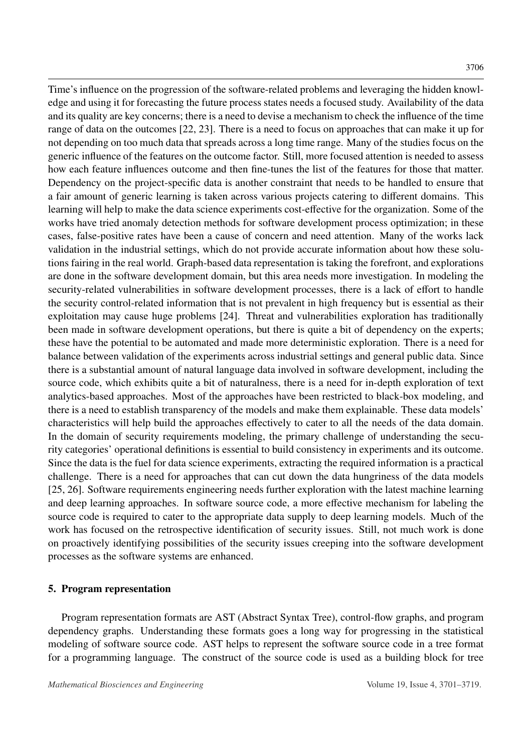Time's influence on the progression of the software-related problems and leveraging the hidden knowledge and using it for forecasting the future process states needs a focused study. Availability of the data and its quality are key concerns; there is a need to devise a mechanism to check the influence of the time range of data on the outcomes [\[22,](#page-17-0) [23\]](#page-17-1). There is a need to focus on approaches that can make it up for not depending on too much data that spreads across a long time range. Many of the studies focus on the generic influence of the features on the outcome factor. Still, more focused attention is needed to assess how each feature influences outcome and then fine-tunes the list of the features for those that matter. Dependency on the project-specific data is another constraint that needs to be handled to ensure that a fair amount of generic learning is taken across various projects catering to different domains. This learning will help to make the data science experiments cost-effective for the organization. Some of the works have tried anomaly detection methods for software development process optimization; in these cases, false-positive rates have been a cause of concern and need attention. Many of the works lack validation in the industrial settings, which do not provide accurate information about how these solutions fairing in the real world. Graph-based data representation is taking the forefront, and explorations are done in the software development domain, but this area needs more investigation. In modeling the security-related vulnerabilities in software development processes, there is a lack of effort to handle the security control-related information that is not prevalent in high frequency but is essential as their exploitation may cause huge problems [\[24\]](#page-17-2). Threat and vulnerabilities exploration has traditionally been made in software development operations, but there is quite a bit of dependency on the experts; these have the potential to be automated and made more deterministic exploration. There is a need for balance between validation of the experiments across industrial settings and general public data. Since there is a substantial amount of natural language data involved in software development, including the source code, which exhibits quite a bit of naturalness, there is a need for in-depth exploration of text analytics-based approaches. Most of the approaches have been restricted to black-box modeling, and there is a need to establish transparency of the models and make them explainable. These data models' characteristics will help build the approaches effectively to cater to all the needs of the data domain. In the domain of security requirements modeling, the primary challenge of understanding the security categories' operational definitions is essential to build consistency in experiments and its outcome. Since the data is the fuel for data science experiments, extracting the required information is a practical challenge. There is a need for approaches that can cut down the data hungriness of the data models [\[25,](#page-17-3) [26\]](#page-17-4). Software requirements engineering needs further exploration with the latest machine learning and deep learning approaches. In software source code, a more effective mechanism for labeling the source code is required to cater to the appropriate data supply to deep learning models. Much of the work has focused on the retrospective identification of security issues. Still, not much work is done on proactively identifying possibilities of the security issues creeping into the software development processes as the software systems are enhanced.

## 5. Program representation

Program representation formats are AST (Abstract Syntax Tree), control-flow graphs, and program dependency graphs. Understanding these formats goes a long way for progressing in the statistical modeling of software source code. AST helps to represent the software source code in a tree format for a programming language. The construct of the source code is used as a building block for tree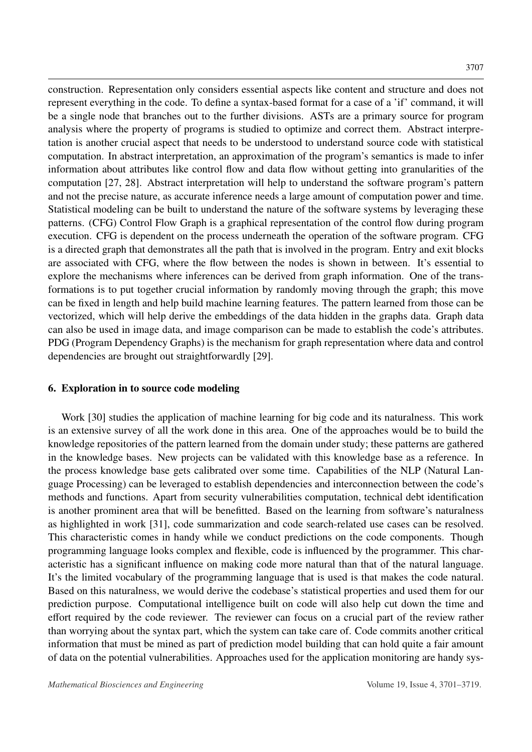construction. Representation only considers essential aspects like content and structure and does not represent everything in the code. To define a syntax-based format for a case of a 'if' command, it will be a single node that branches out to the further divisions. ASTs are a primary source for program analysis where the property of programs is studied to optimize and correct them. Abstract interpretation is another crucial aspect that needs to be understood to understand source code with statistical computation. In abstract interpretation, an approximation of the program's semantics is made to infer information about attributes like control flow and data flow without getting into granularities of the computation [\[27,](#page-17-5) [28\]](#page-17-6). Abstract interpretation will help to understand the software program's pattern and not the precise nature, as accurate inference needs a large amount of computation power and time. Statistical modeling can be built to understand the nature of the software systems by leveraging these patterns. (CFG) Control Flow Graph is a graphical representation of the control flow during program execution. CFG is dependent on the process underneath the operation of the software program. CFG is a directed graph that demonstrates all the path that is involved in the program. Entry and exit blocks are associated with CFG, where the flow between the nodes is shown in between. It's essential to explore the mechanisms where inferences can be derived from graph information. One of the transformations is to put together crucial information by randomly moving through the graph; this move can be fixed in length and help build machine learning features. The pattern learned from those can be vectorized, which will help derive the embeddings of the data hidden in the graphs data. Graph data can also be used in image data, and image comparison can be made to establish the code's attributes. PDG (Program Dependency Graphs) is the mechanism for graph representation where data and control dependencies are brought out straightforwardly [\[29\]](#page-17-7).

## 6. Exploration in to source code modeling

Work [\[30\]](#page-17-8) studies the application of machine learning for big code and its naturalness. This work is an extensive survey of all the work done in this area. One of the approaches would be to build the knowledge repositories of the pattern learned from the domain under study; these patterns are gathered in the knowledge bases. New projects can be validated with this knowledge base as a reference. In the process knowledge base gets calibrated over some time. Capabilities of the NLP (Natural Language Processing) can be leveraged to establish dependencies and interconnection between the code's methods and functions. Apart from security vulnerabilities computation, technical debt identification is another prominent area that will be benefitted. Based on the learning from software's naturalness as highlighted in work [\[31\]](#page-17-9), code summarization and code search-related use cases can be resolved. This characteristic comes in handy while we conduct predictions on the code components. Though programming language looks complex and flexible, code is influenced by the programmer. This characteristic has a significant influence on making code more natural than that of the natural language. It's the limited vocabulary of the programming language that is used is that makes the code natural. Based on this naturalness, we would derive the codebase's statistical properties and used them for our prediction purpose. Computational intelligence built on code will also help cut down the time and effort required by the code reviewer. The reviewer can focus on a crucial part of the review rather than worrying about the syntax part, which the system can take care of. Code commits another critical information that must be mined as part of prediction model building that can hold quite a fair amount of data on the potential vulnerabilities. Approaches used for the application monitoring are handy sys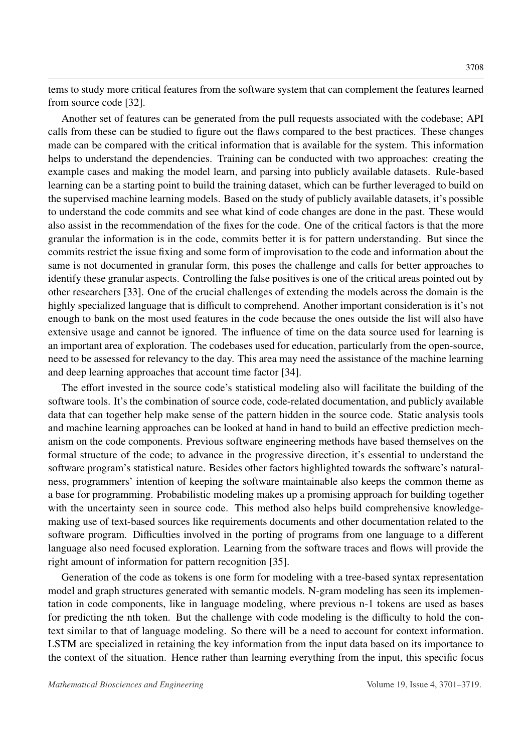tems to study more critical features from the software system that can complement the features learned from source code [\[32\]](#page-17-10).

Another set of features can be generated from the pull requests associated with the codebase; API calls from these can be studied to figure out the flaws compared to the best practices. These changes made can be compared with the critical information that is available for the system. This information helps to understand the dependencies. Training can be conducted with two approaches: creating the example cases and making the model learn, and parsing into publicly available datasets. Rule-based learning can be a starting point to build the training dataset, which can be further leveraged to build on the supervised machine learning models. Based on the study of publicly available datasets, it's possible to understand the code commits and see what kind of code changes are done in the past. These would also assist in the recommendation of the fixes for the code. One of the critical factors is that the more granular the information is in the code, commits better it is for pattern understanding. But since the commits restrict the issue fixing and some form of improvisation to the code and information about the same is not documented in granular form, this poses the challenge and calls for better approaches to identify these granular aspects. Controlling the false positives is one of the critical areas pointed out by other researchers [\[33\]](#page-17-11). One of the crucial challenges of extending the models across the domain is the highly specialized language that is difficult to comprehend. Another important consideration is it's not enough to bank on the most used features in the code because the ones outside the list will also have extensive usage and cannot be ignored. The influence of time on the data source used for learning is an important area of exploration. The codebases used for education, particularly from the open-source, need to be assessed for relevancy to the day. This area may need the assistance of the machine learning and deep learning approaches that account time factor [\[34\]](#page-17-12).

The effort invested in the source code's statistical modeling also will facilitate the building of the software tools. It's the combination of source code, code-related documentation, and publicly available data that can together help make sense of the pattern hidden in the source code. Static analysis tools and machine learning approaches can be looked at hand in hand to build an effective prediction mechanism on the code components. Previous software engineering methods have based themselves on the formal structure of the code; to advance in the progressive direction, it's essential to understand the software program's statistical nature. Besides other factors highlighted towards the software's naturalness, programmers' intention of keeping the software maintainable also keeps the common theme as a base for programming. Probabilistic modeling makes up a promising approach for building together with the uncertainty seen in source code. This method also helps build comprehensive knowledgemaking use of text-based sources like requirements documents and other documentation related to the software program. Difficulties involved in the porting of programs from one language to a different language also need focused exploration. Learning from the software traces and flows will provide the right amount of information for pattern recognition [\[35\]](#page-17-13).

Generation of the code as tokens is one form for modeling with a tree-based syntax representation model and graph structures generated with semantic models. N-gram modeling has seen its implementation in code components, like in language modeling, where previous n-1 tokens are used as bases for predicting the nth token. But the challenge with code modeling is the difficulty to hold the context similar to that of language modeling. So there will be a need to account for context information. LSTM are specialized in retaining the key information from the input data based on its importance to the context of the situation. Hence rather than learning everything from the input, this specific focus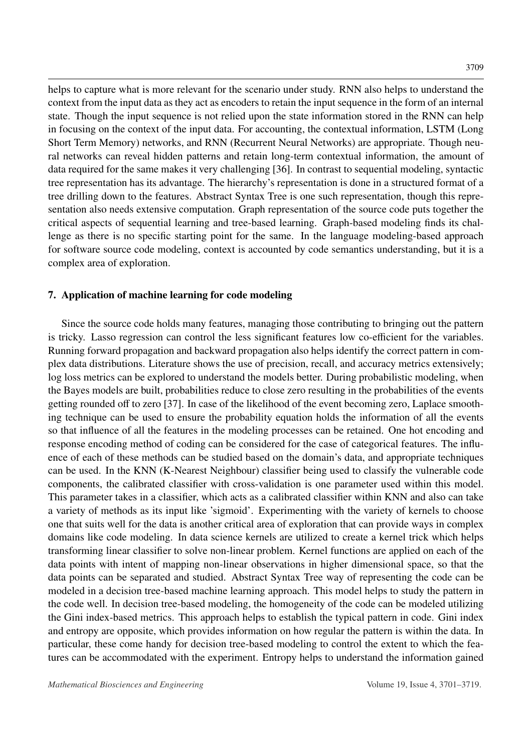helps to capture what is more relevant for the scenario under study. RNN also helps to understand the context from the input data as they act as encoders to retain the input sequence in the form of an internal state. Though the input sequence is not relied upon the state information stored in the RNN can help in focusing on the context of the input data. For accounting, the contextual information, LSTM (Long Short Term Memory) networks, and RNN (Recurrent Neural Networks) are appropriate. Though neural networks can reveal hidden patterns and retain long-term contextual information, the amount of data required for the same makes it very challenging [\[36\]](#page-18-0). In contrast to sequential modeling, syntactic tree representation has its advantage. The hierarchy's representation is done in a structured format of a tree drilling down to the features. Abstract Syntax Tree is one such representation, though this representation also needs extensive computation. Graph representation of the source code puts together the critical aspects of sequential learning and tree-based learning. Graph-based modeling finds its challenge as there is no specific starting point for the same. In the language modeling-based approach for software source code modeling, context is accounted by code semantics understanding, but it is a complex area of exploration.

#### 7. Application of machine learning for code modeling

Since the source code holds many features, managing those contributing to bringing out the pattern is tricky. Lasso regression can control the less significant features low co-efficient for the variables. Running forward propagation and backward propagation also helps identify the correct pattern in complex data distributions. Literature shows the use of precision, recall, and accuracy metrics extensively; log loss metrics can be explored to understand the models better. During probabilistic modeling, when the Bayes models are built, probabilities reduce to close zero resulting in the probabilities of the events getting rounded off to zero [\[37\]](#page-18-1). In case of the likelihood of the event becoming zero, Laplace smoothing technique can be used to ensure the probability equation holds the information of all the events so that influence of all the features in the modeling processes can be retained. One hot encoding and response encoding method of coding can be considered for the case of categorical features. The influence of each of these methods can be studied based on the domain's data, and appropriate techniques can be used. In the KNN (K-Nearest Neighbour) classifier being used to classify the vulnerable code components, the calibrated classifier with cross-validation is one parameter used within this model. This parameter takes in a classifier, which acts as a calibrated classifier within KNN and also can take a variety of methods as its input like 'sigmoid'. Experimenting with the variety of kernels to choose one that suits well for the data is another critical area of exploration that can provide ways in complex domains like code modeling. In data science kernels are utilized to create a kernel trick which helps transforming linear classifier to solve non-linear problem. Kernel functions are applied on each of the data points with intent of mapping non-linear observations in higher dimensional space, so that the data points can be separated and studied. Abstract Syntax Tree way of representing the code can be modeled in a decision tree-based machine learning approach. This model helps to study the pattern in the code well. In decision tree-based modeling, the homogeneity of the code can be modeled utilizing the Gini index-based metrics. This approach helps to establish the typical pattern in code. Gini index and entropy are opposite, which provides information on how regular the pattern is within the data. In particular, these come handy for decision tree-based modeling to control the extent to which the features can be accommodated with the experiment. Entropy helps to understand the information gained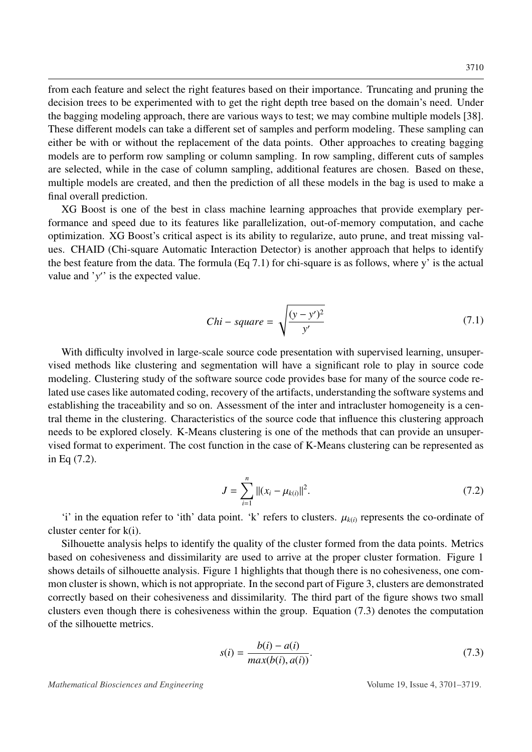from each feature and select the right features based on their importance. Truncating and pruning the decision trees to be experimented with to get the right depth tree based on the domain's need. Under the bagging modeling approach, there are various ways to test; we may combine multiple models [\[38\]](#page-18-2). These different models can take a different set of samples and perform modeling. These sampling can either be with or without the replacement of the data points. Other approaches to creating bagging models are to perform row sampling or column sampling. In row sampling, different cuts of samples are selected, while in the case of column sampling, additional features are chosen. Based on these, multiple models are created, and then the prediction of all these models in the bag is used to make a final overall prediction.

XG Boost is one of the best in class machine learning approaches that provide exemplary performance and speed due to its features like parallelization, out-of-memory computation, and cache optimization. XG Boost's critical aspect is its ability to regularize, auto prune, and treat missing values. CHAID (Chi-square Automatic Interaction Detector) is another approach that helps to identify the best feature from the data. The formula  $(Eq 7.1)$  $(Eq 7.1)$  for chi-square is as follows, where y' is the actual value and ' $y'$ ' is the expected value.

$$
Chi-square = \sqrt{\frac{(y - y')^2}{y'}}
$$
\n(7.1)

<span id="page-9-0"></span>With difficulty involved in large-scale source code presentation with supervised learning, unsupervised methods like clustering and segmentation will have a significant role to play in source code modeling. Clustering study of the software source code provides base for many of the source code related use cases like automated coding, recovery of the artifacts, understanding the software systems and establishing the traceability and so on. Assessment of the inter and intracluster homogeneity is a central theme in the clustering. Characteristics of the source code that influence this clustering approach needs to be explored closely. K-Means clustering is one of the methods that can provide an unsupervised format to experiment. The cost function in the case of K-Means clustering can be represented as in Eq [\(7.2\)](#page-9-1).

<span id="page-9-1"></span>
$$
J = \sum_{i=1}^{n} ||(x_i - \mu_{k(i)}||^2).
$$
 (7.2)

'i' in the equation refer to 'ith' data point. 'k' refers to clusters.  $\mu_{k(i)}$  represents the co-ordinate of cluster center for k(i).

Silhouette analysis helps to identify the quality of the cluster formed from the data points. Metrics based on cohesiveness and dissimilarity are used to arrive at the proper cluster formation. Figure [1](#page-10-0) shows details of silhouette analysis. Figure [1](#page-10-0) highlights that though there is no cohesiveness, one common cluster is shown, which is not appropriate. In the second part of Figure [3,](#page-12-0) clusters are demonstrated correctly based on their cohesiveness and dissimilarity. The third part of the figure shows two small clusters even though there is cohesiveness within the group. Equation [\(7.3\)](#page-9-2) denotes the computation of the silhouette metrics.

<span id="page-9-2"></span>
$$
s(i) = \frac{b(i) - a(i)}{max(b(i), a(i))}.
$$
\n(7.3)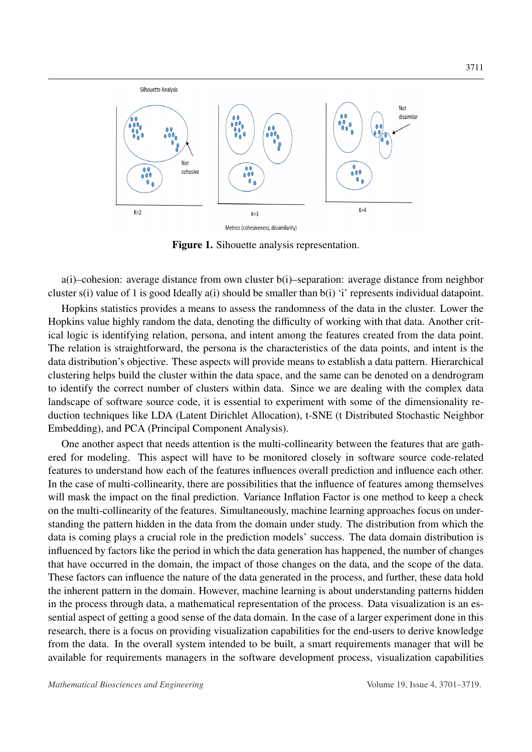<span id="page-10-0"></span>

Figure 1. Sihouette analysis representation.

a(i)–cohesion: average distance from own cluster b(i)–separation: average distance from neighbor cluster s(i) value of 1 is good Ideally a(i) should be smaller than b(i) 'i' represents individual datapoint.

Hopkins statistics provides a means to assess the randomness of the data in the cluster. Lower the Hopkins value highly random the data, denoting the difficulty of working with that data. Another critical logic is identifying relation, persona, and intent among the features created from the data point. The relation is straightforward, the persona is the characteristics of the data points, and intent is the data distribution's objective. These aspects will provide means to establish a data pattern. Hierarchical clustering helps build the cluster within the data space, and the same can be denoted on a dendrogram to identify the correct number of clusters within data. Since we are dealing with the complex data landscape of software source code, it is essential to experiment with some of the dimensionality reduction techniques like LDA (Latent Dirichlet Allocation), t-SNE (t Distributed Stochastic Neighbor Embedding), and PCA (Principal Component Analysis).

One another aspect that needs attention is the multi-collinearity between the features that are gathered for modeling. This aspect will have to be monitored closely in software source code-related features to understand how each of the features influences overall prediction and influence each other. In the case of multi-collinearity, there are possibilities that the influence of features among themselves will mask the impact on the final prediction. Variance Inflation Factor is one method to keep a check on the multi-collinearity of the features. Simultaneously, machine learning approaches focus on understanding the pattern hidden in the data from the domain under study. The distribution from which the data is coming plays a crucial role in the prediction models' success. The data domain distribution is influenced by factors like the period in which the data generation has happened, the number of changes that have occurred in the domain, the impact of those changes on the data, and the scope of the data. These factors can influence the nature of the data generated in the process, and further, these data hold the inherent pattern in the domain. However, machine learning is about understanding patterns hidden in the process through data, a mathematical representation of the process. Data visualization is an essential aspect of getting a good sense of the data domain. In the case of a larger experiment done in this research, there is a focus on providing visualization capabilities for the end-users to derive knowledge from the data. In the overall system intended to be built, a smart requirements manager that will be available for requirements managers in the software development process, visualization capabilities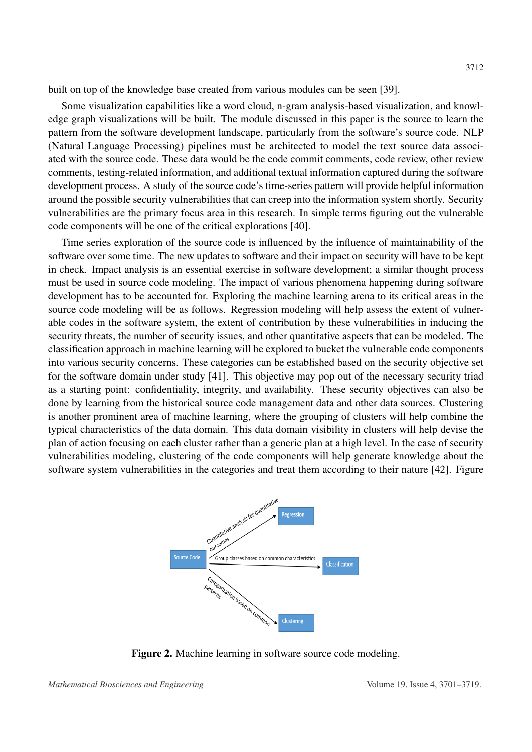built on top of the knowledge base created from various modules can be seen [\[39\]](#page-18-3).

Some visualization capabilities like a word cloud, n-gram analysis-based visualization, and knowledge graph visualizations will be built. The module discussed in this paper is the source to learn the pattern from the software development landscape, particularly from the software's source code. NLP (Natural Language Processing) pipelines must be architected to model the text source data associated with the source code. These data would be the code commit comments, code review, other review comments, testing-related information, and additional textual information captured during the software development process. A study of the source code's time-series pattern will provide helpful information around the possible security vulnerabilities that can creep into the information system shortly. Security vulnerabilities are the primary focus area in this research. In simple terms figuring out the vulnerable code components will be one of the critical explorations [\[40\]](#page-18-4).

Time series exploration of the source code is influenced by the influence of maintainability of the software over some time. The new updates to software and their impact on security will have to be kept in check. Impact analysis is an essential exercise in software development; a similar thought process must be used in source code modeling. The impact of various phenomena happening during software development has to be accounted for. Exploring the machine learning arena to its critical areas in the source code modeling will be as follows. Regression modeling will help assess the extent of vulnerable codes in the software system, the extent of contribution by these vulnerabilities in inducing the security threats, the number of security issues, and other quantitative aspects that can be modeled. The classification approach in machine learning will be explored to bucket the vulnerable code components into various security concerns. These categories can be established based on the security objective set for the software domain under study [\[41\]](#page-18-5). This objective may pop out of the necessary security triad as a starting point: confidentiality, integrity, and availability. These security objectives can also be done by learning from the historical source code management data and other data sources. Clustering is another prominent area of machine learning, where the grouping of clusters will help combine the typical characteristics of the data domain. This data domain visibility in clusters will help devise the plan of action focusing on each cluster rather than a generic plan at a high level. In the case of security vulnerabilities modeling, clustering of the code components will help generate knowledge about the software system vulnerabilities in the categories and treat them according to their nature [\[42\]](#page-18-6). Figure

<span id="page-11-0"></span>

Figure 2. Machine learning in software source code modeling.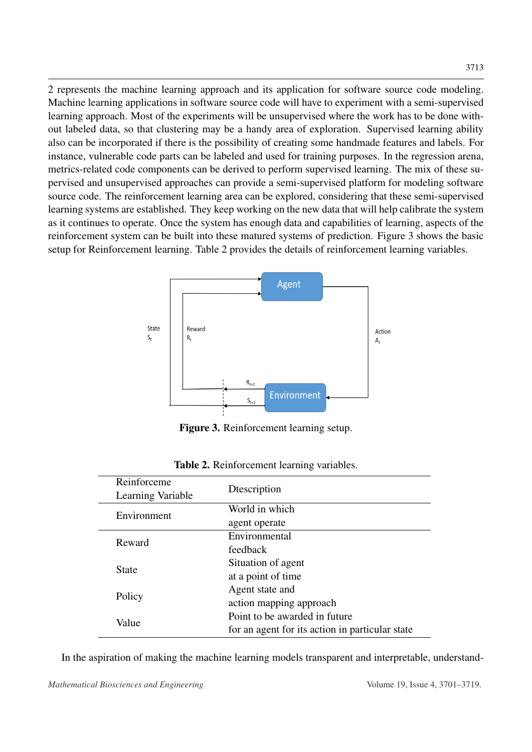[2](#page-11-0) represents the machine learning approach and its application for software source code modeling. Machine learning applications in software source code will have to experiment with a semi-supervised learning approach. Most of the experiments will be unsupervised where the work has to be done without labeled data, so that clustering may be a handy area of exploration. Supervised learning ability also can be incorporated if there is the possibility of creating some handmade features and labels. For instance, vulnerable code parts can be labeled and used for training purposes. In the regression arena, metrics-related code components can be derived to perform supervised learning. The mix of these supervised and unsupervised approaches can provide a semi-supervised platform for modeling software source code. The reinforcement learning area can be explored, considering that these semi-supervised learning systems are established. They keep working on the new data that will help calibrate the system as it continues to operate. Once the system has enough data and capabilities of learning, aspects of the reinforcement system can be built into these matured systems of prediction. Figure [3](#page-12-0) shows the basic setup for Reinforcement learning. Table [2](#page-12-1) provides the details of reinforcement learning variables.

<span id="page-12-0"></span>

Figure 3. Reinforcement learning setup.

<span id="page-12-1"></span>

| Reinforceme       | Dtescription                                    |  |  |
|-------------------|-------------------------------------------------|--|--|
| Learning Variable |                                                 |  |  |
| Environment       | World in which                                  |  |  |
|                   | agent operate                                   |  |  |
| Reward            | Environmental                                   |  |  |
|                   | feedback                                        |  |  |
| <b>State</b>      | Situation of agent                              |  |  |
|                   | at a point of time                              |  |  |
| Policy            | Agent state and                                 |  |  |
|                   | action mapping approach                         |  |  |
| Value             | Point to be awarded in future                   |  |  |
|                   | for an agent for its action in particular state |  |  |

Table 2. Reinforcement learning variables.

In the aspiration of making the machine learning models transparent and interpretable, understand-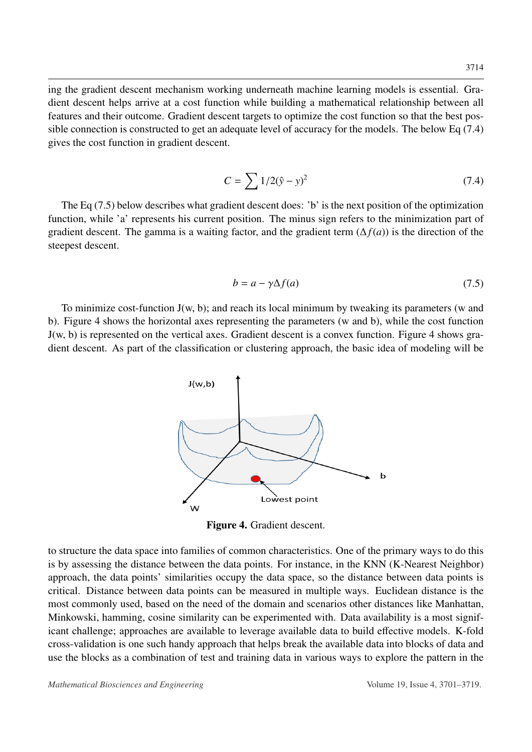ing the gradient descent mechanism working underneath machine learning models is essential. Gradient descent helps arrive at a cost function while building a mathematical relationship between all features and their outcome. Gradient descent targets to optimize the cost function so that the best possible connection is constructed to get an adequate level of accuracy for the models. The below Eq [\(7.4\)](#page-13-0) gives the cost function in gradient descent.

$$
C = \sum 1/2(\hat{y} - y)^2
$$
 (7.4)

<span id="page-13-0"></span>The Eq [\(7.5\)](#page-13-1) below describes what gradient descent does: 'b' is the next position of the optimization function, while 'a' represents his current position. The minus sign refers to the minimization part of gradient descent. The gamma is a waiting factor, and the gradient term  $(\Delta f(a))$  is the direction of the steepest descent.

$$
b = a - \gamma \Delta f(a) \tag{7.5}
$$

<span id="page-13-2"></span><span id="page-13-1"></span>To minimize cost-function  $J(w, b)$ ; and reach its local minimum by tweaking its parameters (w and b). Figure 4 shows the horizontal axes representing the parameters (w and b), while the cost function J(w, b) is represented on the vertical axes. Gradient descent is a convex function. Figure [4](#page-13-2) shows gradient descent. As part of the classification or clustering approach, the basic idea of modeling will be



Figure 4. Gradient descent.

to structure the data space into families of common characteristics. One of the primary ways to do this is by assessing the distance between the data points. For instance, in the KNN (K-Nearest Neighbor) approach, the data points' similarities occupy the data space, so the distance between data points is critical. Distance between data points can be measured in multiple ways. Euclidean distance is the most commonly used, based on the need of the domain and scenarios other distances like Manhattan, Minkowski, hamming, cosine similarity can be experimented with. Data availability is a most significant challenge; approaches are available to leverage available data to build effective models. K-fold cross-validation is one such handy approach that helps break the available data into blocks of data and use the blocks as a combination of test and training data in various ways to explore the pattern in the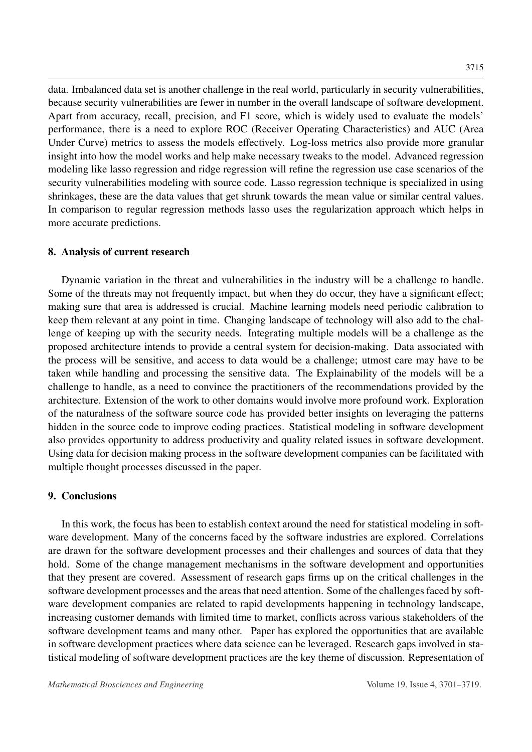data. Imbalanced data set is another challenge in the real world, particularly in security vulnerabilities, because security vulnerabilities are fewer in number in the overall landscape of software development. Apart from accuracy, recall, precision, and F1 score, which is widely used to evaluate the models' performance, there is a need to explore ROC (Receiver Operating Characteristics) and AUC (Area Under Curve) metrics to assess the models effectively. Log-loss metrics also provide more granular insight into how the model works and help make necessary tweaks to the model. Advanced regression modeling like lasso regression and ridge regression will refine the regression use case scenarios of the security vulnerabilities modeling with source code. Lasso regression technique is specialized in using shrinkages, these are the data values that get shrunk towards the mean value or similar central values. In comparison to regular regression methods lasso uses the regularization approach which helps in more accurate predictions.

#### 8. Analysis of current research

Dynamic variation in the threat and vulnerabilities in the industry will be a challenge to handle. Some of the threats may not frequently impact, but when they do occur, they have a significant effect; making sure that area is addressed is crucial. Machine learning models need periodic calibration to keep them relevant at any point in time. Changing landscape of technology will also add to the challenge of keeping up with the security needs. Integrating multiple models will be a challenge as the proposed architecture intends to provide a central system for decision-making. Data associated with the process will be sensitive, and access to data would be a challenge; utmost care may have to be taken while handling and processing the sensitive data. The Explainability of the models will be a challenge to handle, as a need to convince the practitioners of the recommendations provided by the architecture. Extension of the work to other domains would involve more profound work. Exploration of the naturalness of the software source code has provided better insights on leveraging the patterns hidden in the source code to improve coding practices. Statistical modeling in software development also provides opportunity to address productivity and quality related issues in software development. Using data for decision making process in the software development companies can be facilitated with multiple thought processes discussed in the paper.

#### 9. Conclusions

In this work, the focus has been to establish context around the need for statistical modeling in software development. Many of the concerns faced by the software industries are explored. Correlations are drawn for the software development processes and their challenges and sources of data that they hold. Some of the change management mechanisms in the software development and opportunities that they present are covered. Assessment of research gaps firms up on the critical challenges in the software development processes and the areas that need attention. Some of the challenges faced by software development companies are related to rapid developments happening in technology landscape, increasing customer demands with limited time to market, conflicts across various stakeholders of the software development teams and many other. Paper has explored the opportunities that are available in software development practices where data science can be leveraged. Research gaps involved in statistical modeling of software development practices are the key theme of discussion. Representation of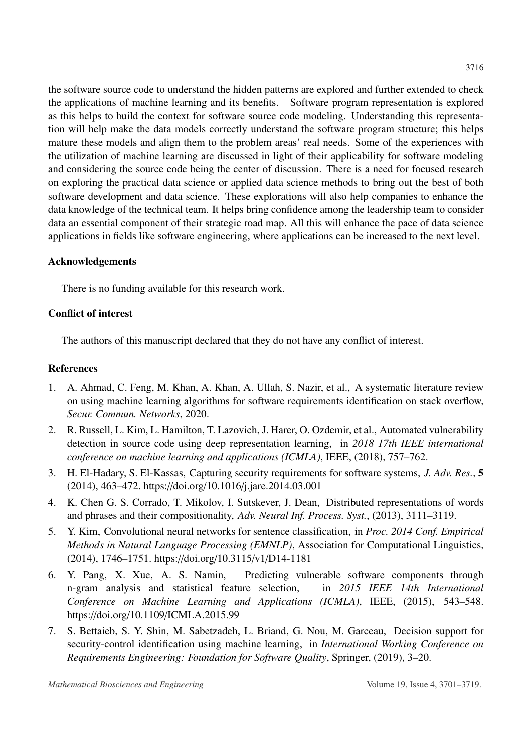the software source code to understand the hidden patterns are explored and further extended to check the applications of machine learning and its benefits. Software program representation is explored as this helps to build the context for software source code modeling. Understanding this representation will help make the data models correctly understand the software program structure; this helps mature these models and align them to the problem areas' real needs. Some of the experiences with the utilization of machine learning are discussed in light of their applicability for software modeling and considering the source code being the center of discussion. There is a need for focused research on exploring the practical data science or applied data science methods to bring out the best of both software development and data science. These explorations will also help companies to enhance the data knowledge of the technical team. It helps bring confidence among the leadership team to consider data an essential component of their strategic road map. All this will enhance the pace of data science applications in fields like software engineering, where applications can be increased to the next level.

# Acknowledgements

There is no funding available for this research work.

# Conflict of interest

The authors of this manuscript declared that they do not have any conflict of interest.

## References

- <span id="page-15-0"></span>1. A. Ahmad, C. Feng, M. Khan, A. Khan, A. Ullah, S. Nazir, et al., A systematic literature review on using machine learning algorithms for software requirements identification on stack overflow, *Secur. Commun. Networks*, 2020.
- <span id="page-15-1"></span>2. R. Russell, L. Kim, L. Hamilton, T. Lazovich, J. Harer, O. Ozdemir, et al., Automated vulnerability detection in source code using deep representation learning, in *2018 17th IEEE international conference on machine learning and applications (ICMLA)*, IEEE, (2018), 757–762.
- <span id="page-15-2"></span>3. H. El-Hadary, S. El-Kassas, Capturing security requirements for software systems, *J. Adv. Res.*, 5 (2014), 463–472. https://doi.org/10.1016/[j.jare.2014.03.001](http://dx.doi.org/https://doi.org/10.1016/j.jare.2014.03.001)
- <span id="page-15-3"></span>4. K. Chen G. S. Corrado, T. Mikolov, I. Sutskever, J. Dean, Distributed representations of words and phrases and their compositionality, *Adv. Neural Inf. Process. Syst.*, (2013), 3111–3119.
- <span id="page-15-4"></span>5. Y. Kim, Convolutional neural networks for sentence classification, in *Proc. 2014 Conf. Empirical Methods in Natural Language Processing (EMNLP)*, Association for Computational Linguistics, (2014), 1746–1751. https://doi.org/10.3115/v1/[D14-1181](http://dx.doi.org/https://doi.org/10.3115/v1/D14-1181)
- <span id="page-15-5"></span>6. Y. Pang, X. Xue, A. S. Namin, Predicting vulnerable software components through n-gram analysis and statistical feature selection, in *2015 IEEE 14th International Conference on Machine Learning and Applications (ICMLA)*, IEEE, (2015), 543–548. https://doi.org/10.1109/[ICMLA.2015.99](http://dx.doi.org/https://doi.org/10.1109/ICMLA.2015.99)
- <span id="page-15-6"></span>7. S. Bettaieb, S. Y. Shin, M. Sabetzadeh, L. Briand, G. Nou, M. Garceau, Decision support for security-control identification using machine learning, in *International Working Conference on Requirements Engineering: Foundation for Software Quality*, Springer, (2019), 3–20.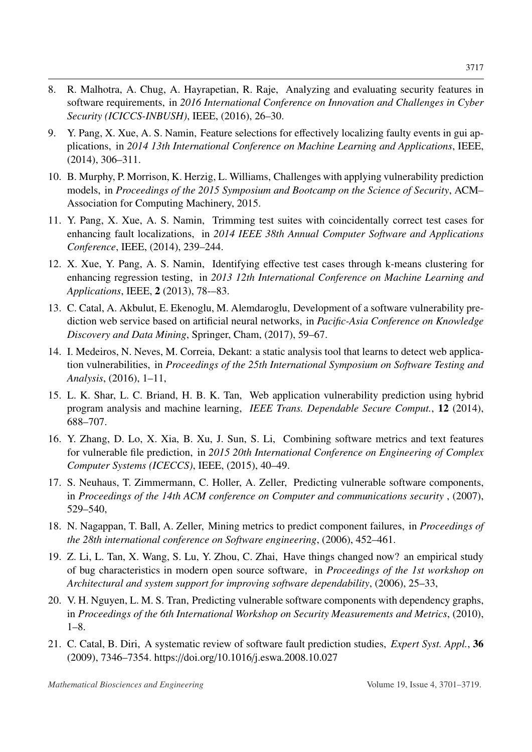- <span id="page-16-0"></span>8. R. Malhotra, A. Chug, A. Hayrapetian, R. Raje, Analyzing and evaluating security features in software requirements, in *2016 International Conference on Innovation and Challenges in Cyber Security (ICICCS-INBUSH)*, IEEE, (2016), 26–30.
- <span id="page-16-1"></span>9. Y. Pang, X. Xue, A. S. Namin, Feature selections for effectively localizing faulty events in gui applications, in *2014 13th International Conference on Machine Learning and Applications*, IEEE, (2014), 306–311.
- <span id="page-16-2"></span>10. B. Murphy, P. Morrison, K. Herzig, L. Williams, Challenges with applying vulnerability prediction models, in *Proceedings of the 2015 Symposium and Bootcamp on the Science of Security*, ACM– Association for Computing Machinery, 2015.
- <span id="page-16-3"></span>11. Y. Pang, X. Xue, A. S. Namin, Trimming test suites with coincidentally correct test cases for enhancing fault localizations, in *2014 IEEE 38th Annual Computer Software and Applications Conference*, IEEE, (2014), 239–244.
- <span id="page-16-4"></span>12. X. Xue, Y. Pang, A. S. Namin, Identifying effective test cases through k-means clustering for enhancing regression testing, in *2013 12th International Conference on Machine Learning and Applications*, IEEE, 2 (2013), 78-–83.
- <span id="page-16-5"></span>13. C. Catal, A. Akbulut, E. Ekenoglu, M. Alemdaroglu, Development of a software vulnerability prediction web service based on artificial neural networks, in *Pacific-Asia Conference on Knowledge Discovery and Data Mining*, Springer, Cham, (2017), 59–67.
- <span id="page-16-6"></span>14. I. Medeiros, N. Neves, M. Correia, Dekant: a static analysis tool that learns to detect web application vulnerabilities, in *Proceedings of the 25th International Symposium on Software Testing and Analysis*, (2016), 1–11,
- <span id="page-16-7"></span>15. L. K. Shar, L. C. Briand, H. B. K. Tan, Web application vulnerability prediction using hybrid program analysis and machine learning, *IEEE Trans. Dependable Secure Comput.*, 12 (2014), 688–707.
- <span id="page-16-8"></span>16. Y. Zhang, D. Lo, X. Xia, B. Xu, J. Sun, S. Li, Combining software metrics and text features for vulnerable file prediction, in *2015 20th International Conference on Engineering of Complex Computer Systems (ICECCS)*, IEEE, (2015), 40–49.
- <span id="page-16-9"></span>17. S. Neuhaus, T. Zimmermann, C. Holler, A. Zeller, Predicting vulnerable software components, in *Proceedings of the 14th ACM conference on Computer and communications security* , (2007), 529–540,
- <span id="page-16-10"></span>18. N. Nagappan, T. Ball, A. Zeller, Mining metrics to predict component failures, in *Proceedings of the 28th international conference on Software engineering*, (2006), 452–461.
- <span id="page-16-11"></span>19. Z. Li, L. Tan, X. Wang, S. Lu, Y. Zhou, C. Zhai, Have things changed now? an empirical study of bug characteristics in modern open source software, in *Proceedings of the 1st workshop on Architectural and system support for improving software dependability*, (2006), 25–33,
- <span id="page-16-12"></span>20. V. H. Nguyen, L. M. S. Tran, Predicting vulnerable software components with dependency graphs, in *Proceedings of the 6th International Workshop on Security Measurements and Metrics*, (2010),  $1-8.$
- <span id="page-16-13"></span>21. C. Catal, B. Diri, A systematic review of software fault prediction studies, *Expert Syst. Appl.*, 36 (2009), 7346–7354. https://doi.org/10.1016/[j.eswa.2008.10.027](http://dx.doi.org/https://doi.org/10.1016/j.eswa.2008.10.027)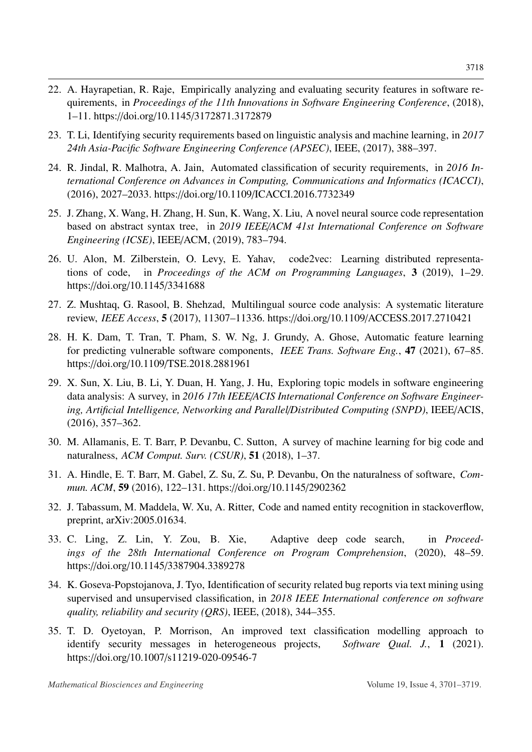- <span id="page-17-0"></span>22. A. Hayrapetian, R. Raje, Empirically analyzing and evaluating security features in software requirements, in *Proceedings of the 11th Innovations in Software Engineering Conference*, (2018), 1–11. https://doi.org/10.1145/[3172871.3172879](http://dx.doi.org/https://doi.org/10.1145/3172871.3172879)
- <span id="page-17-1"></span>23. T. Li, Identifying security requirements based on linguistic analysis and machine learning, in *2017 24th Asia-Pacific Software Engineering Conference (APSEC)*, IEEE, (2017), 388–397.
- <span id="page-17-2"></span>24. R. Jindal, R. Malhotra, A. Jain, Automated classification of security requirements, in *2016 International Conference on Advances in Computing, Communications and Informatics (ICACCI)*, (2016), 2027–2033. https://doi.org/10.1109/[ICACCI.2016.7732349](http://dx.doi.org/https://doi.org/10.1109/ICACCI.2016.7732349)
- <span id="page-17-3"></span>25. J. Zhang, X. Wang, H. Zhang, H. Sun, K. Wang, X. Liu, A novel neural source code representation based on abstract syntax tree, in *2019 IEEE*/*ACM 41st International Conference on Software Engineering (ICSE)*, IEEE/ACM, (2019), 783–794.
- <span id="page-17-4"></span>26. U. Alon, M. Zilberstein, O. Levy, E. Yahav, code2vec: Learning distributed representations of code, in *Proceedings of the ACM on Programming Languages*, 3 (2019), 1–29. https://doi.org/10.1145/[3341688](http://dx.doi.org/https://doi.org/10.1145/3341688)
- <span id="page-17-5"></span>27. Z. Mushtaq, G. Rasool, B. Shehzad, Multilingual source code analysis: A systematic literature review, *IEEE Access*, 5 (2017), 11307–11336. https://doi.org/10.1109/[ACCESS.2017.2710421](http://dx.doi.org/https://doi.org/10.1109/ACCESS.2017.2710421)
- <span id="page-17-6"></span>28. H. K. Dam, T. Tran, T. Pham, S. W. Ng, J. Grundy, A. Ghose, Automatic feature learning for predicting vulnerable software components, *IEEE Trans. Software Eng.*, 47 (2021), 67–85. https://doi.org/10.1109/[TSE.2018.2881961](http://dx.doi.org/https://doi.org/10.1109/TSE.2018.2881961)
- <span id="page-17-7"></span>29. X. Sun, X. Liu, B. Li, Y. Duan, H. Yang, J. Hu, Exploring topic models in software engineering data analysis: A survey, in *2016 17th IEEE*/*ACIS International Conference on Software Engineering, Artificial Intelligence, Networking and Parallel*/*Distributed Computing (SNPD)*, IEEE/ACIS, (2016), 357–362.
- <span id="page-17-8"></span>30. M. Allamanis, E. T. Barr, P. Devanbu, C. Sutton, A survey of machine learning for big code and naturalness, *ACM Comput. Surv. (CSUR)*, 51 (2018), 1–37.
- <span id="page-17-9"></span>31. A. Hindle, E. T. Barr, M. Gabel, Z. Su, Z. Su, P. Devanbu, On the naturalness of software, *Commun. ACM*, 59 (2016), 122–131. https://doi.org/10.1145/[2902362](http://dx.doi.org/https://doi.org/10.1145/2902362)
- <span id="page-17-10"></span>32. J. Tabassum, M. Maddela, W. Xu, A. Ritter, Code and named entity recognition in stackoverflow, preprint, arXiv:2005.01634.
- <span id="page-17-11"></span>33. C. Ling, Z. Lin, Y. Zou, B. Xie, Adaptive deep code search, in *Proceedings of the 28th International Conference on Program Comprehension*, (2020), 48–59. https://doi.org/10.1145/[3387904.3389278](http://dx.doi.org/https://doi.org/10.1145/3387904.3389278)
- <span id="page-17-12"></span>34. K. Goseva-Popstojanova, J. Tyo, Identification of security related bug reports via text mining using supervised and unsupervised classification, in *2018 IEEE International conference on software quality, reliability and security (QRS)*, IEEE, (2018), 344–355.
- <span id="page-17-13"></span>35. T. D. Oyetoyan, P. Morrison, An improved text classification modelling approach to identify security messages in heterogeneous projects, *Software Qual. J.*, 1 (2021). https://doi.org/10.1007/[s11219-020-09546-7](http://dx.doi.org/https://doi.org/10.1007/s11219-020-09546-7)